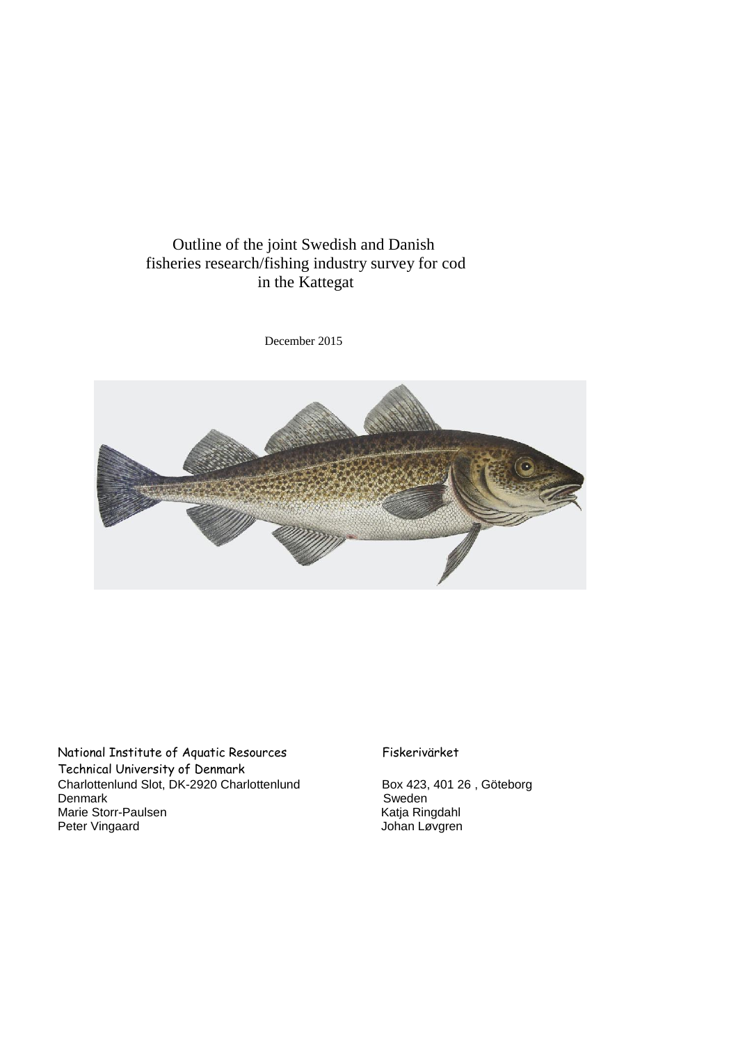# Outline of the joint Swedish and Danish fisheries research/fishing industry survey for cod in the Kattegat

December 2015



National Institute of Aquatic Resources Fiskerivärket Technical University of Denmark Charlottenlund Slot, DK-2920 Charlottenlund Box 423, 401 26, Göteborg<br>Denmark Sweden Denmark Sweden<br>
Marie Storr-Paulsen<br>
Peter Vingaard Sweden<br>
Den Katja Ringdahl<br>
Johan Løvgren Marie Storr-Paulsen Peter Vingaard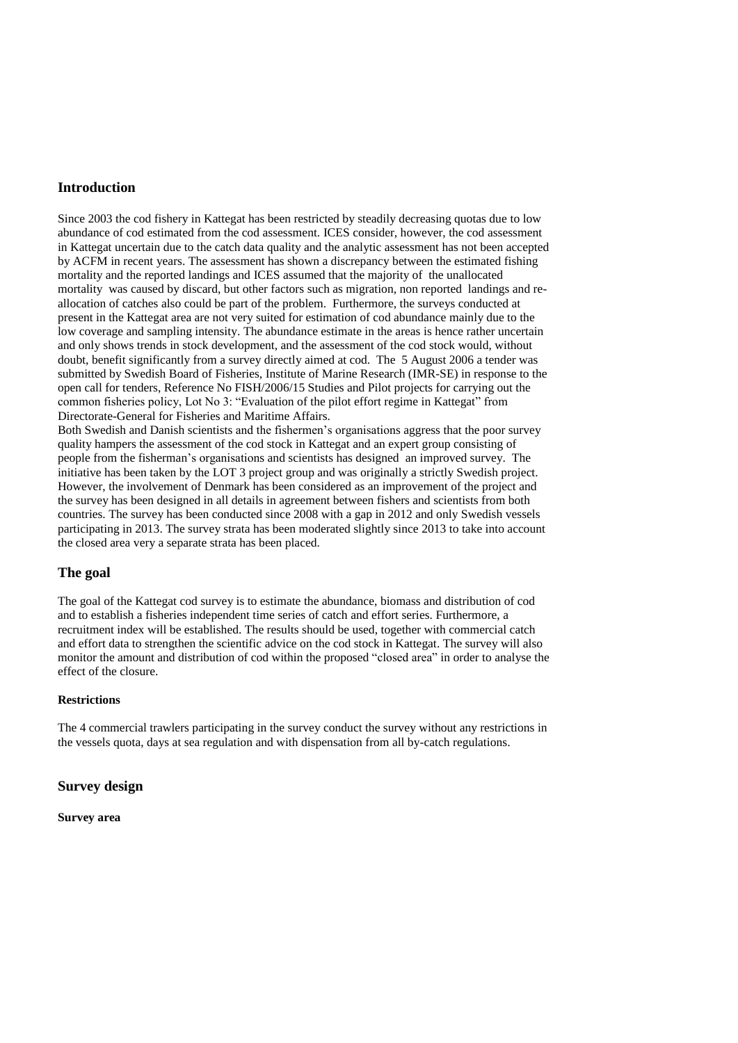# **Introduction**

Since 2003 the cod fishery in Kattegat has been restricted by steadily decreasing quotas due to low abundance of cod estimated from the cod assessment. ICES consider, however, the cod assessment in Kattegat uncertain due to the catch data quality and the analytic assessment has not been accepted by ACFM in recent years. The assessment has shown a discrepancy between the estimated fishing mortality and the reported landings and ICES assumed that the majority of the unallocated mortality was caused by discard, but other factors such as migration, non reported landings and reallocation of catches also could be part of the problem. Furthermore, the surveys conducted at present in the Kattegat area are not very suited for estimation of cod abundance mainly due to the low coverage and sampling intensity. The abundance estimate in the areas is hence rather uncertain and only shows trends in stock development, and the assessment of the cod stock would, without doubt, benefit significantly from a survey directly aimed at cod. The 5 August 2006 a tender was submitted by Swedish Board of Fisheries, Institute of Marine Research (IMR-SE) in response to the open call for tenders, Reference No FISH/2006/15 Studies and Pilot projects for carrying out the common fisheries policy, Lot No 3: "Evaluation of the pilot effort regime in Kattegat" from Directorate-General for Fisheries and Maritime Affairs.

Both Swedish and Danish scientists and the fishermen's organisations aggress that the poor survey quality hampers the assessment of the cod stock in Kattegat and an expert group consisting of people from the fisherman's organisations and scientists has designed an improved survey. The initiative has been taken by the LOT 3 project group and was originally a strictly Swedish project. However, the involvement of Denmark has been considered as an improvement of the project and the survey has been designed in all details in agreement between fishers and scientists from both countries. The survey has been conducted since 2008 with a gap in 2012 and only Swedish vessels participating in 2013. The survey strata has been moderated slightly since 2013 to take into account the closed area very a separate strata has been placed.

# **The goal**

The goal of the Kattegat cod survey is to estimate the abundance, biomass and distribution of cod and to establish a fisheries independent time series of catch and effort series. Furthermore, a recruitment index will be established. The results should be used, together with commercial catch and effort data to strengthen the scientific advice on the cod stock in Kattegat. The survey will also monitor the amount and distribution of cod within the proposed "closed area" in order to analyse the effect of the closure.

# **Restrictions**

The 4 commercial trawlers participating in the survey conduct the survey without any restrictions in the vessels quota, days at sea regulation and with dispensation from all by-catch regulations.

# **Survey design**

**Survey area**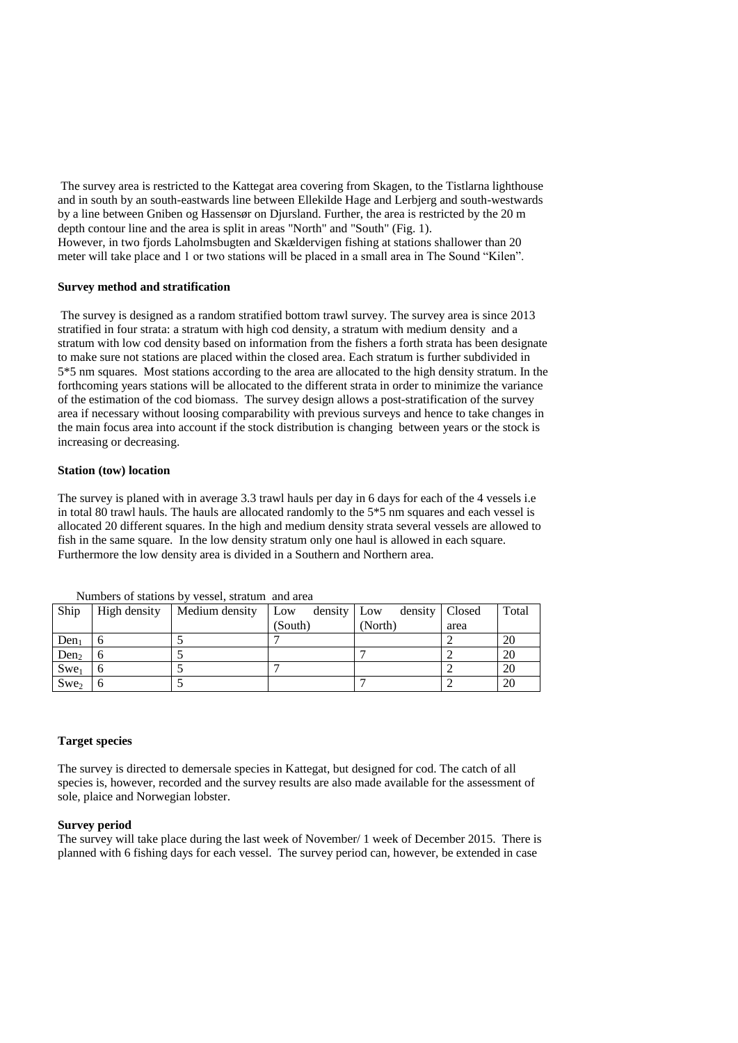The survey area is restricted to the Kattegat area covering from Skagen, to the Tistlarna lighthouse and in south by an south-eastwards line between Ellekilde Hage and Lerbjerg and south-westwards by a line between Gniben og Hassensør on Djursland. Further, the area is restricted by the 20 m depth contour line and the area is split in areas "North" and "South" (Fig. 1). However, in two fjords Laholmsbugten and Skældervigen fishing at stations shallower than 20 meter will take place and 1 or two stations will be placed in a small area in The Sound "Kilen".

#### **Survey method and stratification**

The survey is designed as a random stratified bottom trawl survey. The survey area is since 2013 stratified in four strata: a stratum with high cod density, a stratum with medium density and a stratum with low cod density based on information from the fishers a forth strata has been designate to make sure not stations are placed within the closed area. Each stratum is further subdivided in 5\*5 nm squares. Most stations according to the area are allocated to the high density stratum. In the forthcoming years stations will be allocated to the different strata in order to minimize the variance of the estimation of the cod biomass. The survey design allows a post-stratification of the survey area if necessary without loosing comparability with previous surveys and hence to take changes in the main focus area into account if the stock distribution is changing between years or the stock is increasing or decreasing.

#### **Station (tow) location**

The survey is planed with in average 3.3 trawl hauls per day in 6 days for each of the 4 vessels i.e in total 80 trawl hauls. The hauls are allocated randomly to the 5\*5 nm squares and each vessel is allocated 20 different squares. In the high and medium density strata several vessels are allowed to fish in the same square. In the low density stratum only one haul is allowed in each square. Furthermore the low density area is divided in a Southern and Northern area.

| Ship             | High density | Medium density Low | density Low | density   Closed |      | Total |
|------------------|--------------|--------------------|-------------|------------------|------|-------|
|                  |              |                    | (South)     | (North)          | area |       |
| Den <sub>1</sub> |              |                    |             |                  |      | 20    |
| Den <sub>2</sub> |              |                    |             |                  |      | 20    |
| $Swe_1$          |              |                    |             |                  |      | 20    |
| Swe <sub>2</sub> |              |                    |             |                  |      | 20    |

Numbers of stations by vessel, stratum and area

#### **Target species**

The survey is directed to demersale species in Kattegat, but designed for cod. The catch of all species is, however, recorded and the survey results are also made available for the assessment of sole, plaice and Norwegian lobster.

#### **Survey period**

The survey will take place during the last week of November/ 1 week of December 2015. There is planned with 6 fishing days for each vessel. The survey period can, however, be extended in case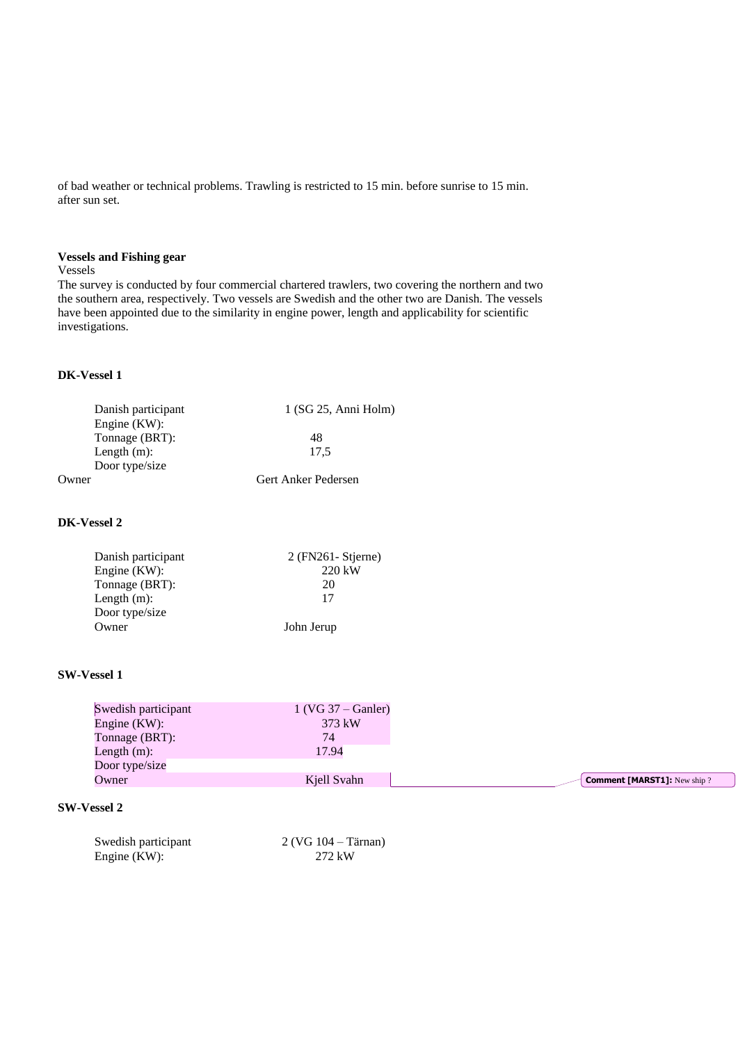of bad weather or technical problems. Trawling is restricted to 15 min. before sunrise to 15 min. after sun set.

# **Vessels and Fishing gear**

#### Vessels

The survey is conducted by four commercial chartered trawlers, two covering the northern and two the southern area, respectively. Two vessels are Swedish and the other two are Danish. The vessels have been appointed due to the similarity in engine power, length and applicability for scientific investigations.

### **DK-Vessel 1**

| $1$ (SG 25, Anni Holm) |
|------------------------|
|                        |
| 48                     |
| 17.5                   |
|                        |
| Gert Anker Pedersen    |
|                        |

# **DK-Vessel 2**

| Danish participant | $2$ (FN261 - Stjerne) |
|--------------------|-----------------------|
| Engine (KW):       | 220 kW                |
| Tonnage (BRT):     | 20                    |
| Length $(m)$ :     | 17                    |
| Door type/size     |                       |
| Owner              | John Jerup            |
|                    |                       |

#### **SW-Vessel 1**

| Swedish participant | $1$ (VG 37 – Ganler) |                                    |
|---------------------|----------------------|------------------------------------|
| Engine $(KW)$ :     | 373 kW               |                                    |
| Tonnage (BRT):      | 74                   |                                    |
| Length $(m)$ :      | 17.94                |                                    |
| Door type/size      |                      |                                    |
| Owner               | Kiell Svahn          | <b>Comment [MARST1]:</b> New ship? |

# **SW-Vessel 2**

| Swedish participant | $2 (VG 104 - Tärnan)$ |
|---------------------|-----------------------|
| Engine (KW):        | 272 kW                |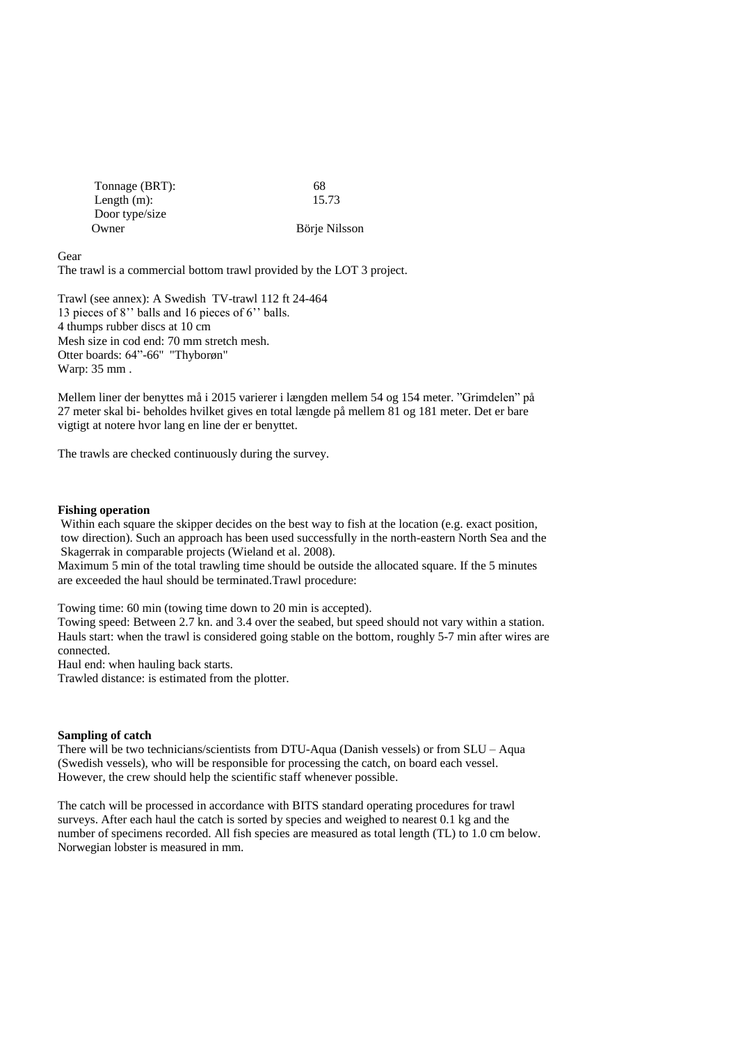| Tonnage (BRT): | 68            |
|----------------|---------------|
| Length $(m)$ : | 15.73         |
| Door type/size |               |
| Owner          | Börje Nilsson |

Gear

The trawl is a commercial bottom trawl provided by the LOT 3 project.

Trawl (see annex): A Swedish TV-trawl 112 ft 24-464 13 pieces of 8'' balls and 16 pieces of 6'' balls. 4 thumps rubber discs at 10 cm Mesh size in cod end: 70 mm stretch mesh. Otter boards: 64"-66'' "Thyborøn" Warp: 35 mm .

Mellem liner der benyttes må i 2015 varierer i længden mellem 54 og 154 meter. "Grimdelen" på 27 meter skal bi- beholdes hvilket gives en total længde på mellem 81 og 181 meter. Det er bare vigtigt at notere hvor lang en line der er benyttet.

The trawls are checked continuously during the survey.

#### **Fishing operation**

Within each square the skipper decides on the best way to fish at the location (e.g. exact position, tow direction). Such an approach has been used successfully in the north-eastern North Sea and the Skagerrak in comparable projects (Wieland et al. 2008).

Maximum 5 min of the total trawling time should be outside the allocated square. If the 5 minutes are exceeded the haul should be terminated.Trawl procedure:

Towing time: 60 min (towing time down to 20 min is accepted).

Towing speed: Between 2.7 kn. and 3.4 over the seabed, but speed should not vary within a station. Hauls start: when the trawl is considered going stable on the bottom, roughly 5-7 min after wires are connected.

Haul end: when hauling back starts.

Trawled distance: is estimated from the plotter.

#### **Sampling of catch**

There will be two technicians/scientists from DTU-Aqua (Danish vessels) or from SLU – Aqua (Swedish vessels), who will be responsible for processing the catch, on board each vessel. However, the crew should help the scientific staff whenever possible.

The catch will be processed in accordance with BITS standard operating procedures for trawl surveys. After each haul the catch is sorted by species and weighed to nearest 0.1 kg and the number of specimens recorded. All fish species are measured as total length (TL) to 1.0 cm below. Norwegian lobster is measured in mm.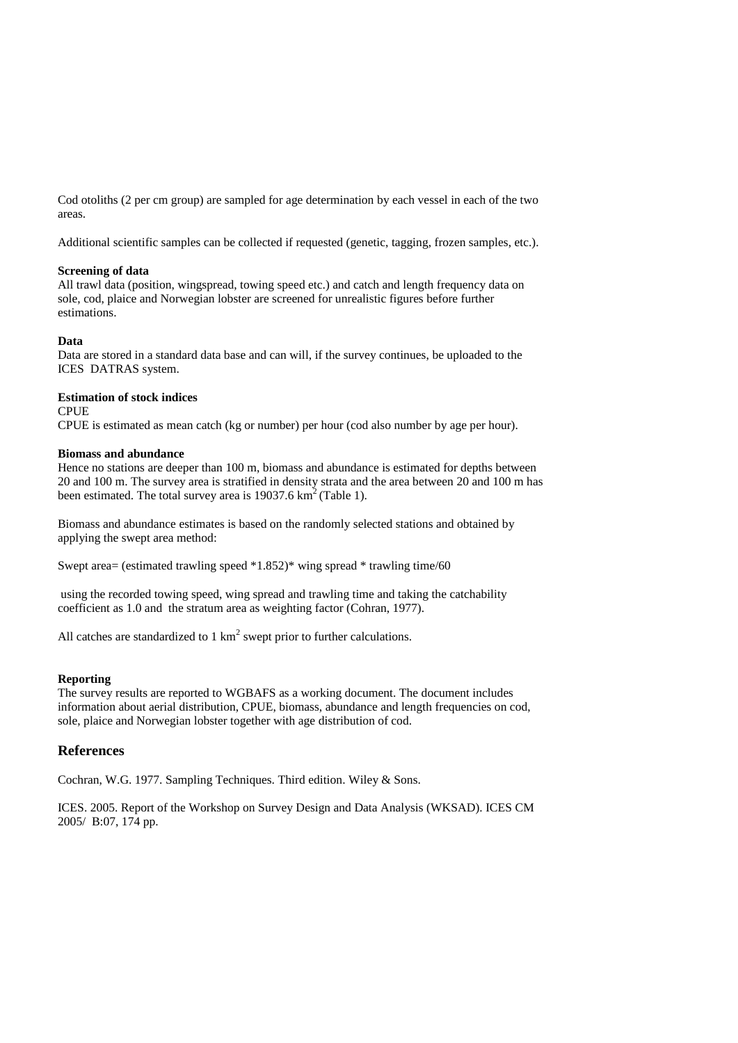Cod otoliths (2 per cm group) are sampled for age determination by each vessel in each of the two areas.

Additional scientific samples can be collected if requested (genetic, tagging, frozen samples, etc.).

### **Screening of data**

All trawl data (position, wingspread, towing speed etc.) and catch and length frequency data on sole, cod, plaice and Norwegian lobster are screened for unrealistic figures before further estimations.

#### **Data**

Data are stored in a standard data base and can will, if the survey continues, be uploaded to the ICES DATRAS system.

#### **Estimation of stock indices**

CPUE

CPUE is estimated as mean catch (kg or number) per hour (cod also number by age per hour).

### **Biomass and abundance**

Hence no stations are deeper than 100 m, biomass and abundance is estimated for depths between 20 and 100 m. The survey area is stratified in density strata and the area between 20 and 100 m has been estimated. The total survey area is  $19037.6 \text{ km}^2$  (Table 1).

Biomass and abundance estimates is based on the randomly selected stations and obtained by applying the swept area method:

Swept area= (estimated trawling speed \*1.852)\* wing spread \* trawling time/60

using the recorded towing speed, wing spread and trawling time and taking the catchability coefficient as 1.0 and the stratum area as weighting factor (Cohran, 1977).

All catches are standardized to  $1 \text{ km}^2$  swept prior to further calculations.

### **Reporting**

The survey results are reported to WGBAFS as a working document. The document includes information about aerial distribution, CPUE, biomass, abundance and length frequencies on cod, sole, plaice and Norwegian lobster together with age distribution of cod.

# **References**

Cochran, W.G. 1977. Sampling Techniques. Third edition. Wiley & Sons.

ICES. 2005. Report of the Workshop on Survey Design and Data Analysis (WKSAD). ICES CM 2005/ B:07, 174 pp.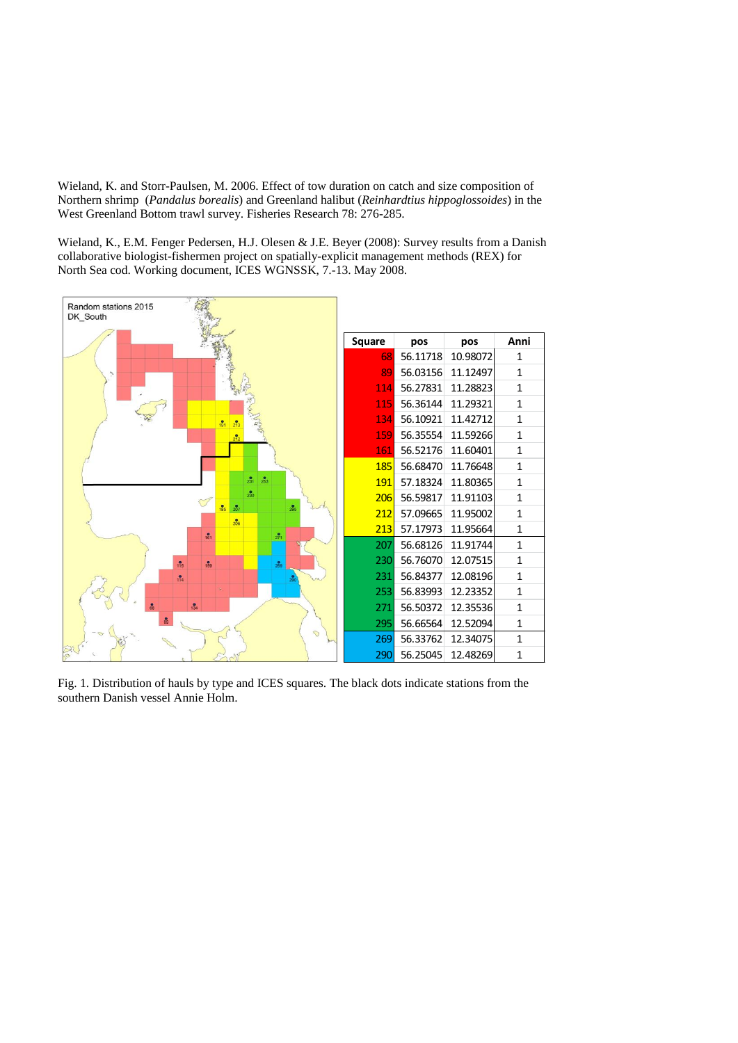Wieland, K. and Storr-Paulsen, M. 2006. Effect of tow duration on catch and size composition of Northern shrimp (*Pandalus borealis*) and Greenland halibut (*Reinhardtius hippoglossoides*) in the West Greenland Bottom trawl survey. Fisheries Research 78: 276-285.

Wieland, K., E.M. Fenger Pedersen, H.J. Olesen & J.E. Beyer (2008): Survey results from a Danish collaborative biologist-fishermen project on spatially-explicit management methods (REX) for North Sea cod. Working document, ICES WGNSSK, 7.-13. May 2008.



Fig. 1. Distribution of hauls by type and ICES squares. The black dots indicate stations from the southern Danish vessel Annie Holm.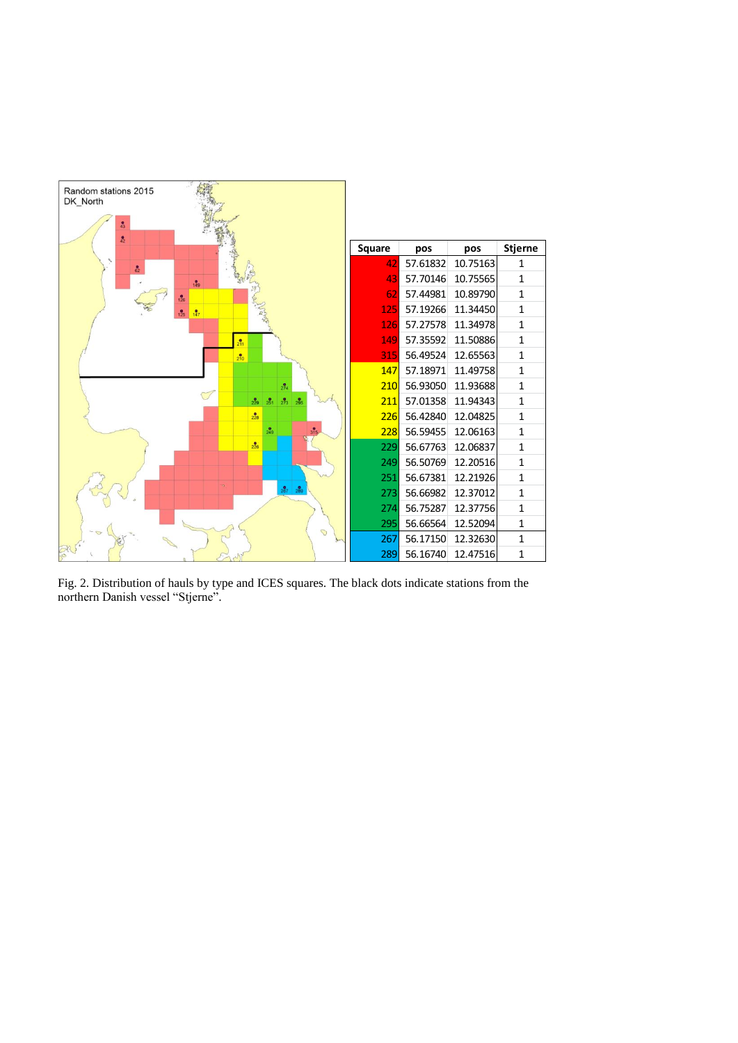

Fig. 2. Distribution of hauls by type and ICES squares. The black dots indicate stations from the northern Danish vessel "Stjerne".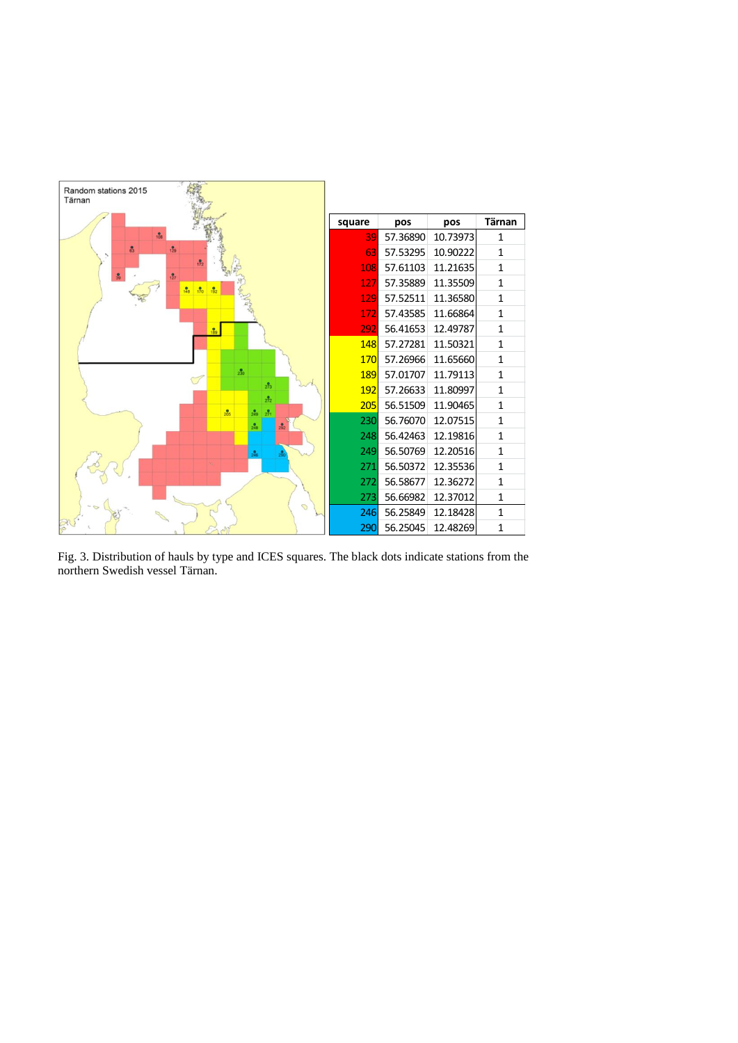![](_page_8_Figure_0.jpeg)

Fig. 3. Distribution of hauls by type and ICES squares. The black dots indicate stations from the northern Swedish vessel Tärnan.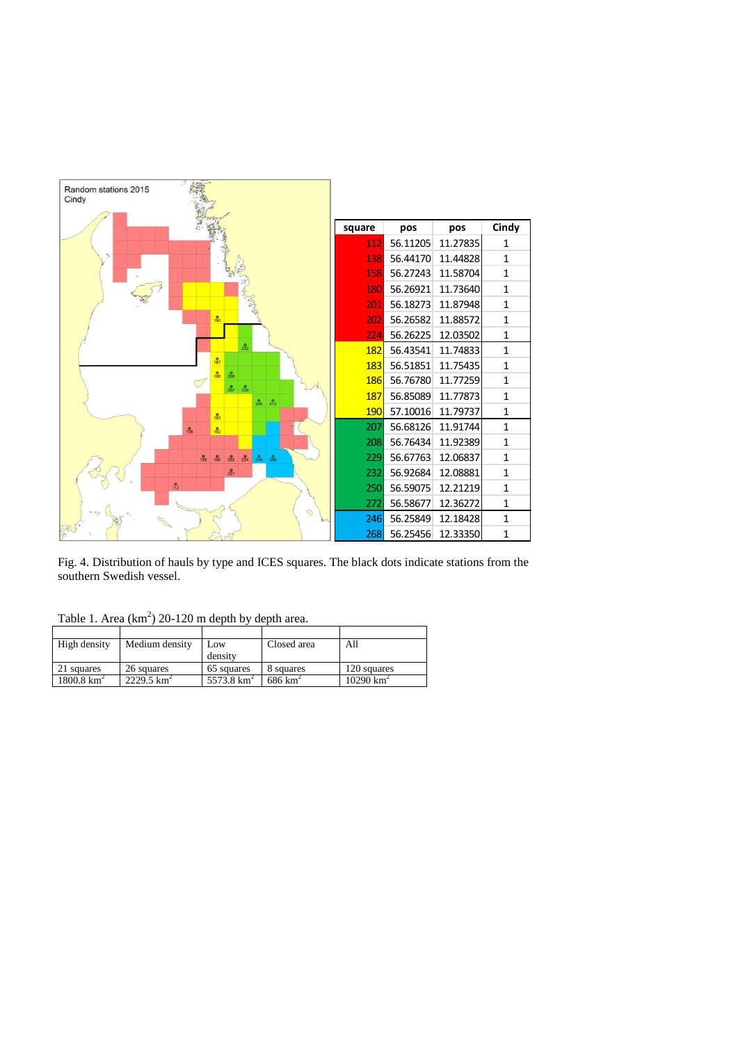![](_page_9_Figure_0.jpeg)

Fig. 4. Distribution of hauls by type and ICES squares. The black dots indicate stations from the southern Swedish vessel.

Table 1. Area  $(km^2)$  20-120 m depth by depth area.

| High density          | Medium density        | Low.          | Closed area        | All                  |
|-----------------------|-----------------------|---------------|--------------------|----------------------|
|                       |                       | density       |                    |                      |
| 21 squares            | 26 squares            | 65 squares    | 8 squares          | 120 squares          |
| $1800.8 \text{ km}^2$ | $2229.5 \text{ km}^2$ | 5573.8 $km^2$ | $686 \text{ km}^2$ | $10290 \text{ km}^2$ |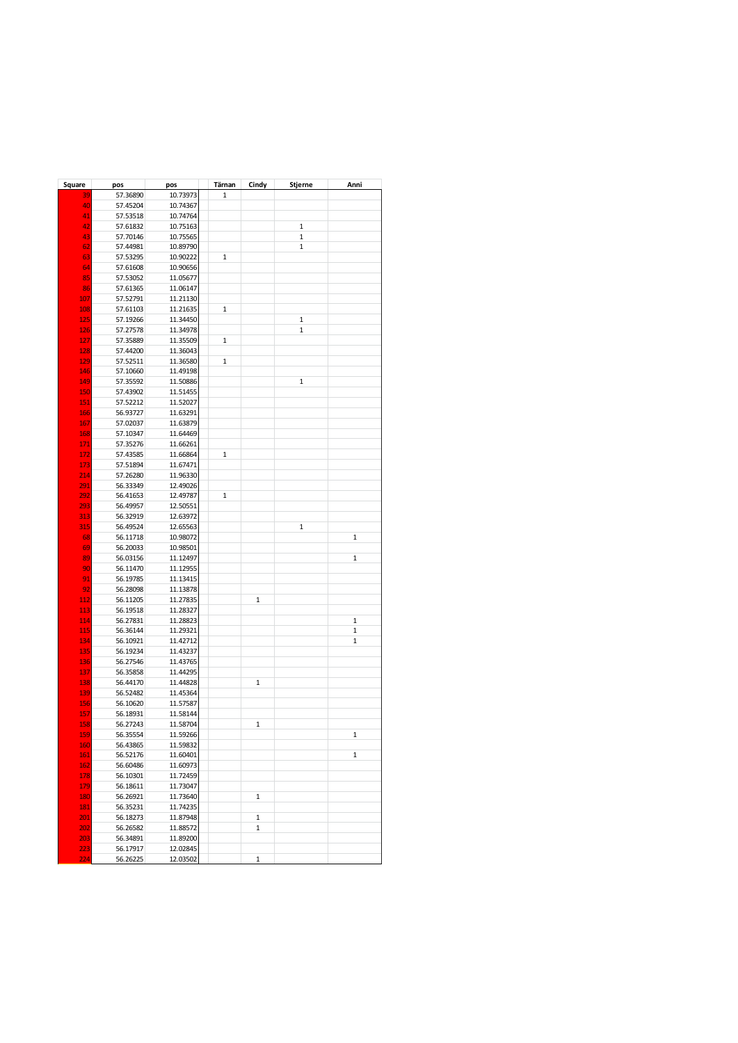| Square     | pos      | pos      | Tärnan       | Cindy | Stjerne           | Anni         |
|------------|----------|----------|--------------|-------|-------------------|--------------|
| 39         | 57.36890 | 10.73973 | $\mathbf{1}$ |       |                   |              |
| 40         | 57.45204 | 10.74367 |              |       |                   |              |
| 41         | 57.53518 | 10.74764 |              |       |                   |              |
| 42         | 57.61832 | 10.75163 |              |       | $\mathbf{1}$      |              |
| 43         | 57.70146 | 10.75565 |              |       | $\mathbf{1}$      |              |
| 62         | 57.44981 | 10.89790 |              |       | 1                 |              |
| 63         | 57.53295 | 10.90222 | 1            |       |                   |              |
| 64         | 57.61608 | 10.90656 |              |       |                   |              |
| 85         | 57.53052 | 11.05677 |              |       |                   |              |
| 86         | 57.61365 | 11.06147 |              |       |                   |              |
| 107        | 57.52791 | 11.21130 |              |       |                   |              |
| 108        | 57.61103 | 11.21635 | $\mathbf{1}$ |       |                   |              |
| 125        |          | 11.34450 |              |       |                   |              |
|            | 57.19266 |          |              |       | 1<br>$\mathbf{1}$ |              |
| 126        | 57.27578 | 11.34978 |              |       |                   |              |
| 127        | 57.35889 | 11.35509 | $\mathbf{1}$ |       |                   |              |
| 128        | 57.44200 | 11.36043 |              |       |                   |              |
| 129        | 57.52511 | 11.36580 | 1            |       |                   |              |
| 146        | 57.10660 | 11.49198 |              |       |                   |              |
| 149        | 57.35592 | 11.50886 |              |       | 1                 |              |
| 150        | 57.43902 | 11.51455 |              |       |                   |              |
| 151        | 57.52212 | 11.52027 |              |       |                   |              |
| 166        | 56.93727 | 11.63291 |              |       |                   |              |
| 167        | 57.02037 | 11.63879 |              |       |                   |              |
| 168        | 57.10347 | 11.64469 |              |       |                   |              |
| 171        | 57.35276 | 11.66261 |              |       |                   |              |
| 172        | 57.43585 | 11.66864 | 1            |       |                   |              |
| 173        | 57.51894 | 11.67471 |              |       |                   |              |
| 214        | 57.26280 | 11.96330 |              |       |                   |              |
| 291        | 56.33349 | 12.49026 |              |       |                   |              |
| 292        | 56.41653 | 12.49787 | 1            |       |                   |              |
| 293        | 56.49957 | 12.50551 |              |       |                   |              |
| 313        | 56.32919 | 12.63972 |              |       |                   |              |
| 315        | 56.49524 | 12.65563 |              |       | $\mathbf{1}$      |              |
| 68         | 56.11718 | 10.98072 |              |       |                   | 1            |
| 69         | 56.20033 | 10.98501 |              |       |                   |              |
| 89         | 56.03156 | 11.12497 |              |       |                   | 1            |
| 90         | 56.11470 | 11.12955 |              |       |                   |              |
| 91         | 56.19785 | 11.13415 |              |       |                   |              |
| 92         | 56.28098 | 11.13878 |              |       |                   |              |
| <u>112</u> | 56.11205 | 11.27835 |              | 1     |                   |              |
| 113        | 56.19518 | 11.28327 |              |       |                   |              |
| 114        | 56.27831 | 11.28823 |              |       |                   | $\mathbf 1$  |
| 115        | 56.36144 | 11.29321 |              |       |                   | $\mathbf{1}$ |
| 134        | 56.10921 | 11.42712 |              |       |                   | $\mathbf 1$  |
| 135        | 56.19234 | 11.43237 |              |       |                   |              |
| 136        | 56.27546 | 11.43765 |              |       |                   |              |
| 137        | 56.35858 | 11.44295 |              |       |                   |              |
| 138        | 56.44170 | 11.44828 |              | 1     |                   |              |
| 139        | 56.52482 | 11.45364 |              |       |                   |              |
| 156        | 56.10620 | 11.57587 |              |       |                   |              |
| 157        | 56.18931 | 11.58144 |              |       |                   |              |
| 158        | 56.27243 | 11.58704 |              | 1     |                   |              |
|            | 56.35554 | 11.59266 |              |       |                   | 1            |
| 159        | 56.43865 | 11.59832 |              |       |                   |              |
| 160        |          |          |              |       |                   |              |
| 161        | 56.52176 | 11.60401 |              |       |                   | 1            |
| 162        | 56.60486 | 11.60973 |              |       |                   |              |
| 178        | 56.10301 | 11.72459 |              |       |                   |              |
| 179        | 56.18611 | 11.73047 |              |       |                   |              |
| <b>180</b> | 56.26921 | 11.73640 |              | 1     |                   |              |
| 181        | 56.35231 | 11.74235 |              |       |                   |              |
| 201        | 56.18273 | 11.87948 |              | 1     |                   |              |
| 202        | 56.26582 | 11.88572 |              | 1     |                   |              |
| 203        | 56.34891 | 11.89200 |              |       |                   |              |
| 223        | 56.17917 | 12.02845 |              |       |                   |              |
| 224        | 56.26225 | 12.03502 |              | 1     |                   |              |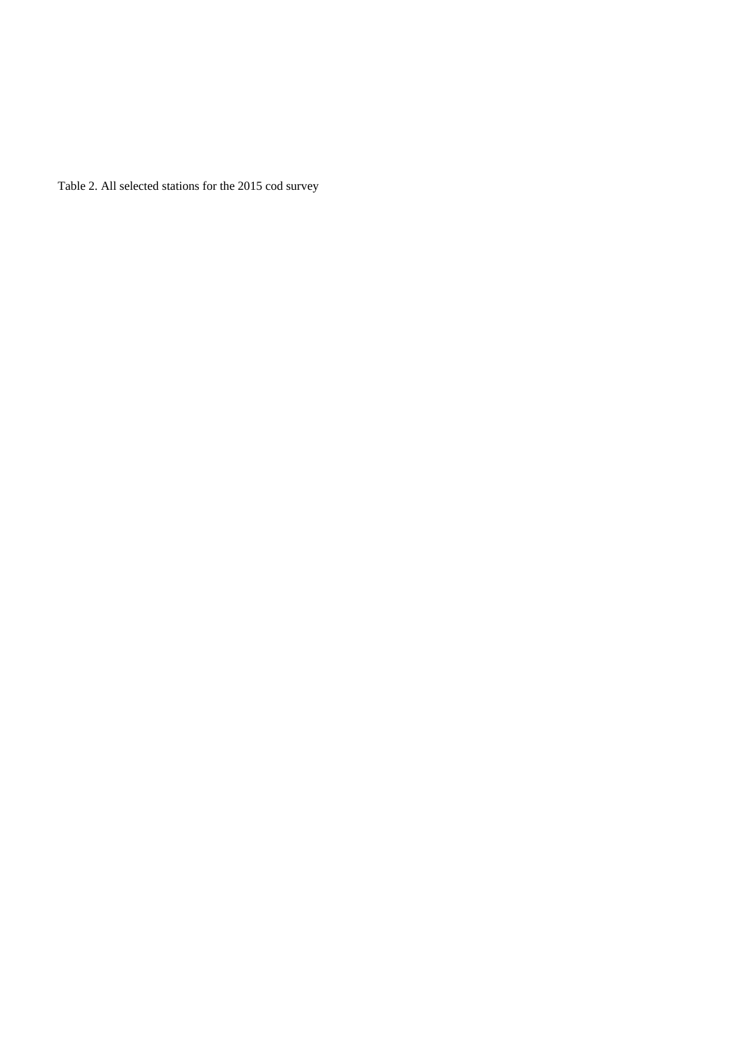Table 2. All selected stations for the 2015 cod survey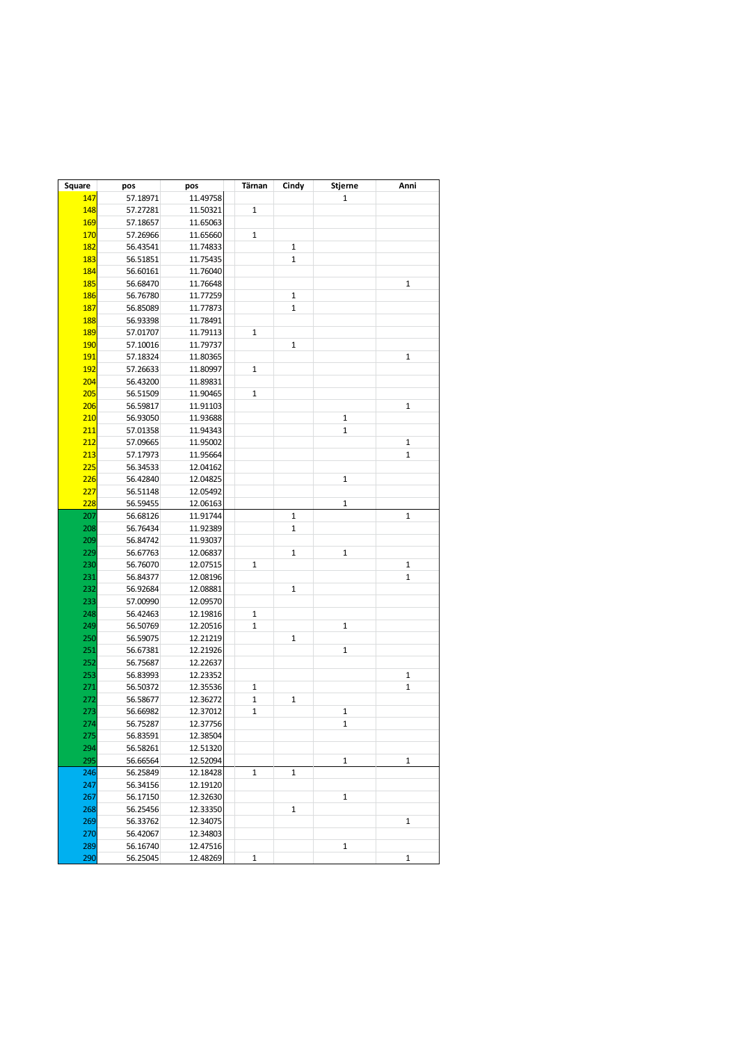| Square     | pos      | pos      | Tärnan | Cindy        | Stjerne      | Anni         |
|------------|----------|----------|--------|--------------|--------------|--------------|
| 147        | 57.18971 | 11.49758 |        |              | 1            |              |
| 148        | 57.27281 | 11.50321 | 1      |              |              |              |
| 169        | 57.18657 | 11.65063 |        |              |              |              |
| 170        | 57.26966 | 11.65660 | 1      |              |              |              |
| 182        | 56.43541 | 11.74833 |        | $1\,$        |              |              |
| 183        | 56.51851 | 11.75435 |        | $\mathbf{1}$ |              |              |
| 184        | 56.60161 | 11.76040 |        |              |              |              |
| 185        | 56.68470 | 11.76648 |        |              |              | 1            |
| <b>186</b> | 56.76780 | 11.77259 |        | $1\,$        |              |              |
| 187        | 56.85089 | 11.77873 |        | $\mathbf{1}$ |              |              |
| 188        | 56.93398 | 11.78491 |        |              |              |              |
| 189        | 57.01707 | 11.79113 | 1      |              |              |              |
| <b>190</b> | 57.10016 | 11.79737 |        | $\mathbf{1}$ |              |              |
| 191        | 57.18324 | 11.80365 |        |              |              | 1            |
| 192        | 57.26633 | 11.80997 | 1      |              |              |              |
| 204        | 56.43200 | 11.89831 |        |              |              |              |
| 205        | 56.51509 | 11.90465 | 1      |              |              |              |
| 206        | 56.59817 | 11.91103 |        |              |              | $\mathbf{1}$ |
| 210        | 56.93050 | 11.93688 |        |              | $\mathbf{1}$ |              |
| 211        | 57.01358 | 11.94343 |        |              | $\mathbf{1}$ |              |
| 212        | 57.09665 | 11.95002 |        |              |              | $\mathbf{1}$ |
| 213        | 57.17973 | 11.95664 |        |              |              | 1            |
| 225        | 56.34533 | 12.04162 |        |              |              |              |
| 226        | 56.42840 | 12.04825 |        |              | $\mathbf{1}$ |              |
| 227        | 56.51148 | 12.05492 |        |              |              |              |
| 228        | 56.59455 | 12.06163 |        |              | $\mathbf{1}$ |              |
| 207        | 56.68126 | 11.91744 |        | $\mathbf{1}$ |              | 1            |
| 208        | 56.76434 | 11.92389 |        | 1            |              |              |
| 209        | 56.84742 | 11.93037 |        |              |              |              |
| 229        | 56.67763 | 12.06837 |        | $\mathbf{1}$ | $\mathbf{1}$ |              |
| 230        | 56.76070 | 12.07515 | 1      |              |              | $\mathbf{1}$ |
| 231        | 56.84377 | 12.08196 |        |              |              | 1            |
| 232        | 56.92684 | 12.08881 |        | $\mathbf 1$  |              |              |
| 233        | 57.00990 | 12.09570 |        |              |              |              |
| 248        | 56.42463 | 12.19816 | 1      |              |              |              |
| 249        | 56.50769 | 12.20516 | 1      |              | $\mathbf{1}$ |              |
| 250        | 56.59075 | 12.21219 |        | $\mathbf{1}$ |              |              |
| 251        | 56.67381 | 12.21926 |        |              | $\mathbf 1$  |              |
| 252        | 56.75687 | 12.22637 |        |              |              |              |
| 253        | 56.83993 | 12.23352 |        |              |              | 1            |
| 271        | 56.50372 | 12.35536 | 1      |              |              | 1            |
| 272        | 56.58677 | 12.36272 | 1      | $1\,$        |              |              |
| 273        | 56.66982 | 12.37012 | 1      |              | $\mathbf{1}$ |              |
| 274        | 56.75287 | 12.37756 |        |              | $\mathbf{1}$ |              |
| 275        | 56.83591 | 12.38504 |        |              |              |              |
| 294        | 56.58261 | 12.51320 |        |              |              |              |
| 295        | 56.66564 | 12.52094 |        |              | $\mathbf 1$  | $\mathbf{1}$ |
| 246        | 56.25849 | 12.18428 | 1      | $\mathbf{1}$ |              |              |
| 247        | 56.34156 | 12.19120 |        |              |              |              |
| 267        | 56.17150 | 12.32630 |        |              | $\mathbf{1}$ |              |
| 268        | 56.25456 | 12.33350 |        | $\mathbf{1}$ |              |              |
| 269        | 56.33762 | 12.34075 |        |              |              | 1            |
| 270        | 56.42067 | 12.34803 |        |              |              |              |
| 289        | 56.16740 | 12.47516 |        |              | $\mathbf{1}$ |              |
| 290        | 56.25045 | 12.48269 | 1      |              |              | 1            |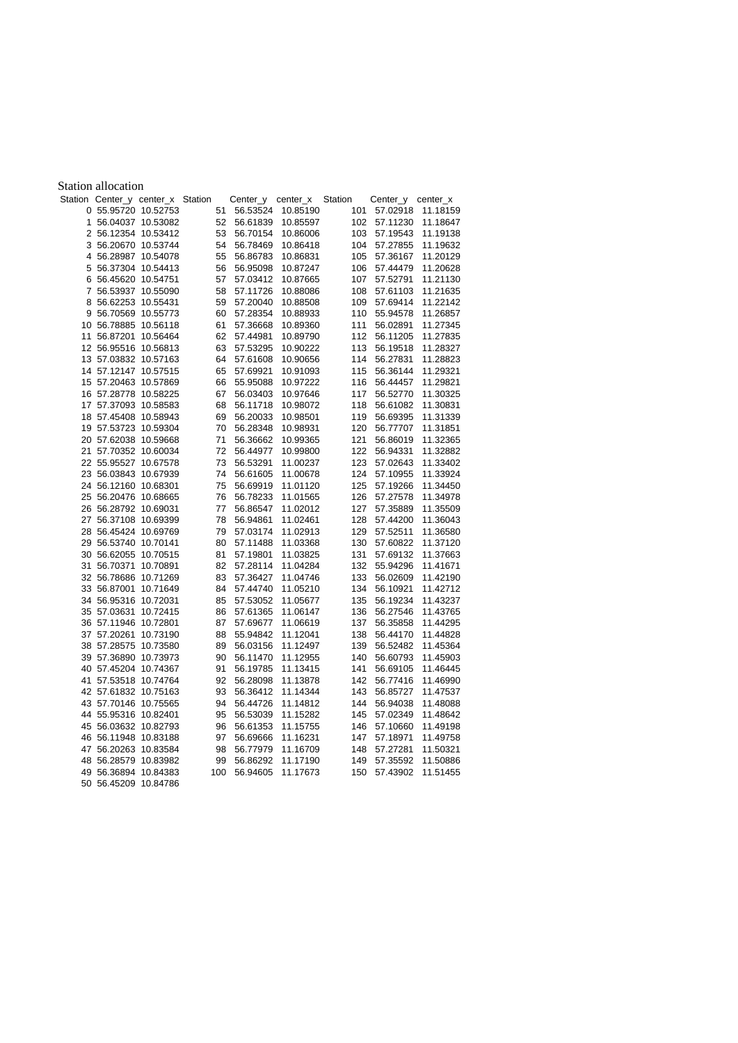|    | <b>Station allocation</b> |                                   |          |          |          |         |          |          |
|----|---------------------------|-----------------------------------|----------|----------|----------|---------|----------|----------|
|    |                           | Station Center_y center_x Station |          | Center_y | center_x | Station | Center_y | center_x |
|    | 0 55.95720 10.52753       |                                   | 51       | 56.53524 | 10.85190 | 101     | 57.02918 | 11.18159 |
|    | 1 56.04037 10.53082       |                                   | 52       | 56.61839 | 10.85597 | 102     | 57.11230 | 11.18647 |
|    | 2 56.12354 10.53412       |                                   | 53       | 56.70154 | 10.86006 | 103     | 57.19543 | 11.19138 |
|    | 3 56.20670 10.53744       |                                   | 54       | 56.78469 | 10.86418 | 104     | 57.27855 | 11.19632 |
|    | 4 56.28987 10.54078       |                                   | 55       | 56.86783 | 10.86831 | 105     | 57.36167 | 11.20129 |
| 5  | 56.37304 10.54413         |                                   | 56       | 56.95098 | 10.87247 | 106     | 57.44479 | 11.20628 |
|    | 6 56.45620 10.54751       |                                   | 57       | 57.03412 | 10.87665 | 107     | 57.52791 | 11.21130 |
| 7  |                           | 56.53937 10.55090                 | 58       | 57.11726 | 10.88086 | 108     | 57.61103 | 11.21635 |
| 8  | 56.62253 10.55431         |                                   | 59       | 57.20040 | 10.88508 | 109     | 57.69414 | 11.22142 |
|    | 9 56.70569 10.55773       |                                   | 60       | 57.28354 | 10.88933 | 110     | 55.94578 | 11.26857 |
|    | 10 56.78885 10.56118      |                                   | 61       | 57.36668 | 10.89360 | 111     | 56.02891 | 11.27345 |
| 11 |                           | 56.87201 10.56464                 | 62       | 57.44981 | 10.89790 | 112     | 56.11205 | 11.27835 |
|    | 12 56.95516 10.56813      |                                   | 63       | 57.53295 | 10.90222 | 113     | 56.19518 | 11.28327 |
|    | 13 57.03832 10.57163      |                                   | 64       | 57.61608 | 10.90656 | 114     | 56.27831 | 11.28823 |
|    | 14 57.12147 10.57515      |                                   | 65       | 57.69921 | 10.91093 | 115     | 56.36144 | 11.29321 |
|    | 15 57.20463 10.57869      |                                   |          | 55.95088 | 10.97222 | 116     |          | 11.29821 |
|    |                           |                                   | 66<br>67 |          |          | 117     | 56.44457 |          |
|    | 16 57.28778 10.58225      |                                   |          | 56.03403 | 10.97646 | 118     | 56.52770 | 11.30325 |
|    | 17 57.37093 10.58583      |                                   | 68       | 56.11718 | 10.98072 |         | 56.61082 | 11.30831 |
|    | 18 57.45408 10.58943      |                                   | 69       | 56.20033 | 10.98501 | 119     | 56.69395 | 11.31339 |
|    | 19 57.53723 10.59304      |                                   | 70       | 56.28348 | 10.98931 | 120     | 56.77707 | 11.31851 |
|    | 20 57.62038 10.59668      |                                   | 71       | 56.36662 | 10.99365 | 121     | 56.86019 | 11.32365 |
| 21 |                           | 57.70352 10.60034                 | 72       | 56.44977 | 10.99800 | 122     | 56.94331 | 11.32882 |
|    | 22 55.95527 10.67578      |                                   | 73       | 56.53291 | 11.00237 | 123     | 57.02643 | 11.33402 |
|    | 23 56.03843 10.67939      |                                   | 74       | 56.61605 | 11.00678 | 124     | 57.10955 | 11.33924 |
|    | 24 56.12160 10.68301      |                                   | 75       | 56.69919 | 11.01120 | 125     | 57.19266 | 11.34450 |
|    | 25 56.20476 10.68665      |                                   | 76       | 56.78233 | 11.01565 | 126     | 57.27578 | 11.34978 |
|    | 26 56.28792 10.69031      |                                   | 77       | 56.86547 | 11.02012 | 127     | 57.35889 | 11.35509 |
|    | 27 56.37108 10.69399      |                                   | 78       | 56.94861 | 11.02461 | 128     | 57.44200 | 11.36043 |
|    | 28 56.45424 10.69769      |                                   | 79       | 57.03174 | 11.02913 | 129     | 57.52511 | 11.36580 |
|    | 29 56.53740 10.70141      |                                   | 80       | 57.11488 | 11.03368 | 130     | 57.60822 | 11.37120 |
|    | 30 56.62055 10.70515      |                                   | 81       | 57.19801 | 11.03825 | 131     | 57.69132 | 11.37663 |
|    | 31 56.70371 10.70891      |                                   | 82       | 57.28114 | 11.04284 | 132     | 55.94296 | 11.41671 |
|    | 32 56.78686 10.71269      |                                   | 83       | 57.36427 | 11.04746 | 133     | 56.02609 | 11.42190 |
|    | 33 56.87001 10.71649      |                                   | 84       | 57.44740 | 11.05210 | 134     | 56.10921 | 11.42712 |
|    | 34 56.95316 10.72031      |                                   | 85       | 57.53052 | 11.05677 | 135     | 56.19234 | 11.43237 |
|    | 35 57.03631 10.72415      |                                   | 86       | 57.61365 | 11.06147 | 136     | 56.27546 | 11.43765 |
|    | 36 57.11946 10.72801      |                                   | 87       | 57.69677 | 11.06619 | 137     | 56.35858 | 11.44295 |
|    | 37 57.20261 10.73190      |                                   | 88       | 55.94842 | 11.12041 | 138     | 56.44170 | 11.44828 |
|    | 38 57.28575 10.73580      |                                   | 89       | 56.03156 | 11.12497 | 139     | 56.52482 | 11.45364 |
|    | 39 57.36890 10.73973      |                                   | 90       | 56.11470 | 11.12955 | 140     | 56.60793 | 11.45903 |
|    | 40 57.45204 10.74367      |                                   | 91       | 56.19785 | 11.13415 | 141     | 56.69105 | 11.46445 |
|    | 41 57.53518 10.74764      |                                   | 92       | 56.28098 | 11.13878 | 142     | 56.77416 | 11.46990 |
|    | 42 57.61832 10.75163      |                                   | 93       | 56.36412 | 11.14344 | 143     | 56.85727 | 11.47537 |
|    | 43 57.70146 10.75565      |                                   | 94       | 56.44726 | 11.14812 | 144     | 56.94038 | 11.48088 |
|    | 44 55.95316 10.82401      |                                   | 95       | 56.53039 | 11.15282 | 145     | 57.02349 | 11.48642 |
|    | 45 56.03632 10.82793      |                                   | 96       | 56.61353 | 11.15755 | 146     | 57.10660 | 11.49198 |
|    | 46 56.11948 10.83188      |                                   | 97       | 56.69666 | 11.16231 | 147     | 57.18971 | 11.49758 |
|    | 47 56.20263 10.83584      |                                   | 98       | 56.77979 | 11.16709 | 148     | 57.27281 | 11.50321 |
|    | 48 56.28579 10.83982      |                                   | 99       | 56.86292 | 11.17190 | 149     | 57.35592 | 11.50886 |
|    | 49 56.36894 10.84383      |                                   | 100      | 56.94605 | 11.17673 | 150     | 57.43902 | 11.51455 |
|    | 50 56.45209 10.84786      |                                   |          |          |          |         |          |          |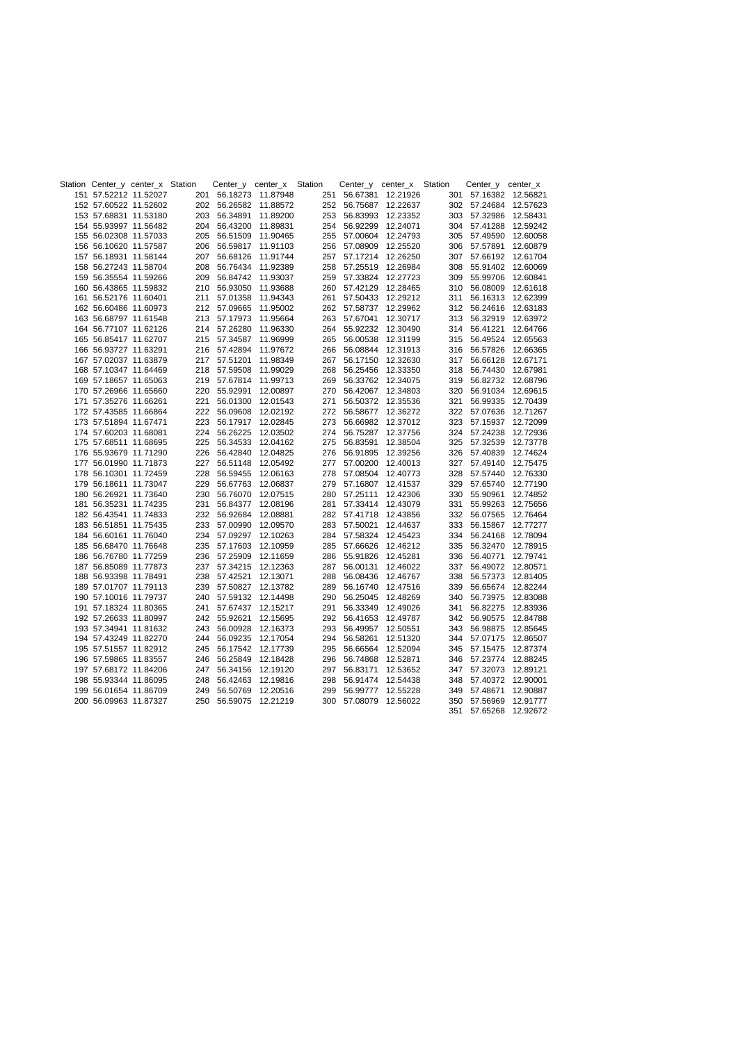|                       | Station Center_y center_x Station |     |              | Center_y center_x Station |     |                       | Center_y center_x Station |     | Center_y center_x     |                   |
|-----------------------|-----------------------------------|-----|--------------|---------------------------|-----|-----------------------|---------------------------|-----|-----------------------|-------------------|
|                       | 151 57.52212 11.52027             |     |              | 201 56.18273 11.87948     |     |                       | 251 56.67381 12.21926     |     | 301 57.16382 12.56821 |                   |
|                       | 152 57.60522 11.52602             |     |              | 202 56.26582 11.88572     | 252 |                       | 56.75687 12.22637         |     | 302 57.24684 12.57623 |                   |
|                       | 153 57.68831 11.53180             | 203 | 56.34891     | 11.89200                  | 253 |                       | 56.83993 12.23352         | 303 |                       | 57.32986 12.58431 |
|                       | 154 55.93997 11.56482             | 204 | 56.43200     | 11.89831                  | 254 |                       | 56.92299 12.24071         |     | 304 57.41288 12.59242 |                   |
|                       | 155 56.02308 11.57033             | 205 |              | 56.51509 11.90465         | 255 |                       | 57.00604 12.24793         |     | 305 57.49590 12.60058 |                   |
|                       | 156 56.10620 11.57587             | 206 |              | 56.59817 11.91103         | 256 |                       | 57.08909 12.25520         |     | 306 57.57891          | 12.60879          |
|                       | 157 56.18931 11.58144             | 207 | 56.68126     | 11.91744                  | 257 | 57.17214              | 12.26250                  |     | 307 57.66192 12.61704 |                   |
|                       | 158 56.27243 11.58704             | 208 |              | 56.76434 11.92389         | 258 |                       | 57.25519 12.26984         |     | 308 55.91402 12.60069 |                   |
|                       | 159 56.35554 11.59266             |     |              | 209 56.84742 11.93037     | 259 |                       | 57.33824 12.27723         |     | 309 55.99706 12.60841 |                   |
|                       | 160 56.43865 11.59832             |     | 210 56.93050 | 11.93688                  | 260 |                       | 57.42129 12.28465         |     | 310 56.08009          | 12.61618          |
| 161 56.52176 11.60401 |                                   | 211 | 57.01358     | 11.94343                  | 261 |                       | 57.50433 12.29212         |     | 311 56.16313 12.62399 |                   |
|                       | 162 56.60486 11.60973             |     | 212 57.09665 | 11.95002                  | 262 |                       | 57.58737 12.29962         |     | 312 56.24616 12.63183 |                   |
|                       | 163 56.68797 11.61548             |     |              | 213 57.17973 11.95664     | 263 | 57.67041              | 12.30717                  |     | 313 56.32919 12.63972 |                   |
|                       | 164 56.77107 11.62126             |     | 214 57.26280 | 11.96330                  | 264 |                       | 55.92232 12.30490         |     | 314 56.41221          | 12.64766          |
|                       | 165 56.85417 11.62707             |     |              | 215 57.34587 11.96999     | 265 |                       | 56.00538 12.31199         |     | 315 56.49524          | 12.65563          |
|                       | 166 56.93727 11.63291             |     |              | 216 57.42894 11.97672     |     |                       | 266 56.08844 12.31913     |     | 316 56.57826 12.66365 |                   |
|                       | 167 57.02037 11.63879             |     | 217 57.51201 | 11.98349                  | 267 |                       | 56.17150 12.32630         |     | 317 56.66128 12.67171 |                   |
|                       | 168 57.10347 11.64469             | 218 | 57.59508     | 11.99029                  | 268 |                       | 56.25456 12.33350         | 318 |                       | 56.74430 12.67981 |
|                       | 169 57.18657 11.65063             | 219 |              | 57.67814 11.99713         | 269 |                       | 56.33762 12.34075         |     | 319 56.82732 12.68796 |                   |
|                       | 170 57.26966 11.65660             | 220 | 55.92991     | 12.00897                  | 270 |                       | 56.42067 12.34803         |     | 320 56.91034 12.69615 |                   |
| 171 57.35276 11.66261 |                                   | 221 | 56.01300     | 12.01543                  | 271 |                       | 56.50372 12.35536         |     | 321 56.99335          | 12.70439          |
|                       | 172 57.43585 11.66864             | 222 | 56.09608     | 12.02192                  | 272 |                       | 56.58677 12.36272         |     | 322 57.07636 12.71267 |                   |
| 173 57.51894 11.67471 |                                   | 223 |              | 56.17917 12.02845         | 273 |                       | 56.66982 12.37012         |     | 323 57.15937 12.72099 |                   |
| 174 57.60203 11.68081 |                                   | 224 |              | 56.26225 12.03502         | 274 |                       | 56.75287 12.37756         |     | 324 57.24238 12.72936 |                   |
|                       | 175 57.68511 11.68695             | 225 |              | 56.34533 12.04162         | 275 | 56.83591              | 12.38504                  |     | 325 57.32539 12.73778 |                   |
|                       | 176 55.93679 11.71290             | 226 |              | 56.42840 12.04825         | 276 |                       | 56.91895 12.39256         |     | 326 57.40839 12.74624 |                   |
|                       | 177 56.01990 11.71873             | 227 |              | 56.51148 12.05492         | 277 |                       | 57.00200 12.40013         | 327 |                       | 57.49140 12.75475 |
|                       | 178 56.10301 11.72459             | 228 |              | 56.59455 12.06163         | 278 |                       | 57.08504 12.40773         |     | 328 57.57440 12.76330 |                   |
|                       | 179 56.18611 11.73047             | 229 |              | 56.67763 12.06837         | 279 |                       | 57.16807 12.41537         |     | 329 57.65740 12.77190 |                   |
|                       | 180 56.26921 11.73640             | 230 | 56.76070     | 12.07515                  | 280 | 57.25111              | 12.42306                  |     | 330 55.90961          | 12.74852          |
|                       | 181 56.35231 11.74235             | 231 |              | 56.84377 12.08196         | 281 |                       | 57.33414 12.43079         |     | 331 55.99263          | 12.75656          |
|                       | 182 56.43541 11.74833             | 232 |              | 56.92684 12.08881         | 282 |                       | 57.41718 12.43856         |     | 332 56.07565 12.76464 |                   |
|                       | 183 56.51851 11.75435             | 233 |              | 57.00990 12.09570         | 283 | 57.50021              | 12.44637                  |     | 333 56.15867          | 12.77277          |
|                       | 184 56.60161 11.76040             | 234 |              | 57.09297 12.10263         | 284 |                       | 57.58324 12.45423         |     | 334 56.24168 12.78094 |                   |
|                       | 185 56.68470 11.76648             | 235 |              | 57.17603 12.10959         | 285 |                       | 57.66626 12.46212         |     | 335 56.32470          | 12.78915          |
|                       | 186 56.76780 11.77259             | 236 | 57.25909     | 12.11659                  | 286 |                       | 55.91826 12.45281         |     | 336 56.40771          | 12.79741          |
|                       | 187 56.85089 11.77873             | 237 | 57.34215     | 12.12363                  | 287 | 56.00131              | 12.46022                  |     | 337 56.49072 12.80571 |                   |
| 188 56.93398 11.78491 |                                   | 238 | 57.42521     | 12.13071                  | 288 | 56.08436              | 12.46767                  |     | 338 56.57373          | 12.81405          |
|                       | 189 57.01707 11.79113             | 239 |              | 57.50827 12.13782         | 289 |                       | 56.16740 12.47516         |     | 339 56.65674 12.82244 |                   |
|                       | 190 57.10016 11.79737             | 240 |              | 57.59132 12.14498         | 290 |                       | 56.25045 12.48269         |     | 340 56.73975 12.83088 |                   |
|                       | 191 57.18324 11.80365             | 241 |              | 57.67437 12.15217         | 291 | 56.33349              | 12.49026                  |     | 341 56.82275          | 12.83936          |
|                       | 192 57.26633 11.80997             | 242 | 55.92621     | 12.15695                  | 292 | 56.41653              | 12.49787                  |     | 342 56.90575          | 12.84788          |
|                       | 193 57.34941 11.81632             | 243 |              | 56.00928 12.16373         | 293 |                       | 56.49957 12.50551         |     | 343 56.98875          | 12.85645          |
|                       | 194 57.43249 11.82270             | 244 | 56.09235     | 12.17054                  | 294 | 56.58261              | 12.51320                  |     | 344 57.07175          | 12.86507          |
|                       | 195 57.51557 11.82912             | 245 |              | 56.17542 12.17739         | 295 | 56.66564              | 12.52094                  |     | 345 57.15475          | 12.87374          |
|                       | 196 57.59865 11.83557             | 246 |              | 56.25849 12.18428         |     | 296 56.74868          | 12.52871                  |     | 346 57.23774 12.88245 |                   |
|                       | 197 57.68172 11.84206             | 247 |              | 56.34156 12.19120         | 297 | 56.83171              | 12.53652                  |     | 347 57.32073 12.89121 |                   |
|                       | 198 55.93344 11.86095             | 248 |              | 56.42463 12.19816         | 298 | 56.91474              | 12.54438                  | 348 | 57.40372              | 12.90001          |
|                       | 199 56.01654 11.86709             | 249 | 56.50769     | 12.20516                  | 299 | 56.99777              | 12.55228                  | 349 | 57.48671              | 12.90887          |
|                       | 200 56.09963 11.87327             |     |              | 250 56.59075 12.21219     |     | 300 57.08079 12.56022 |                           |     | 350 57.56969          | 12.91777          |
|                       |                                   |     |              |                           |     |                       |                           |     | 351 57.65268 12.92672 |                   |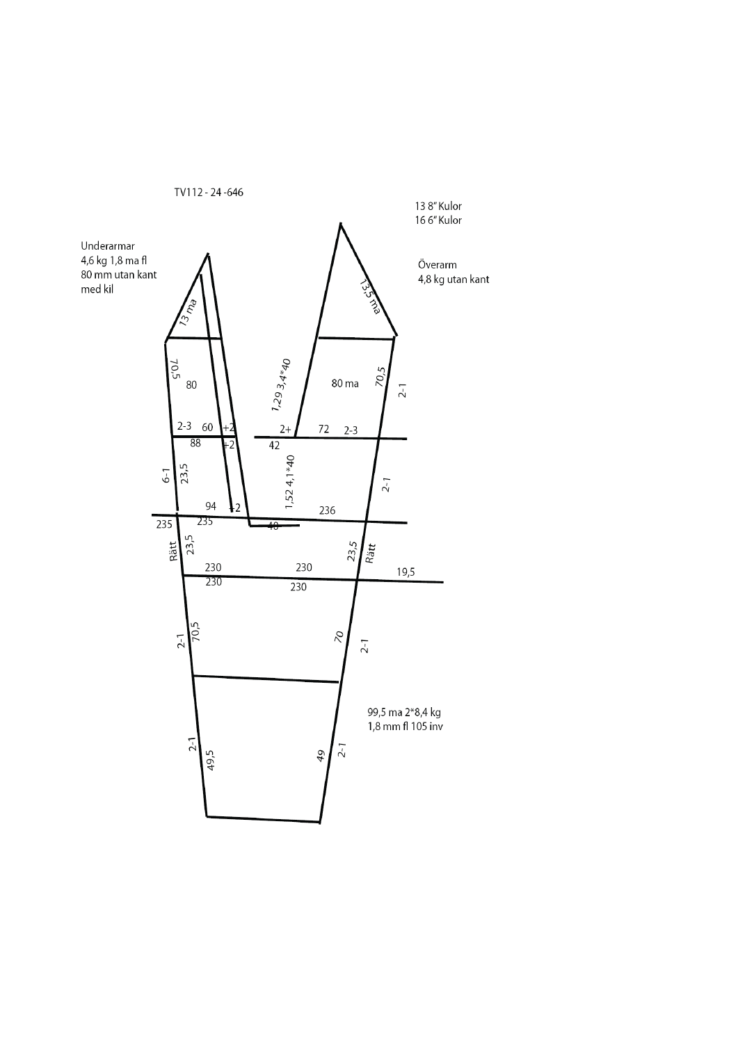![](_page_15_Figure_0.jpeg)